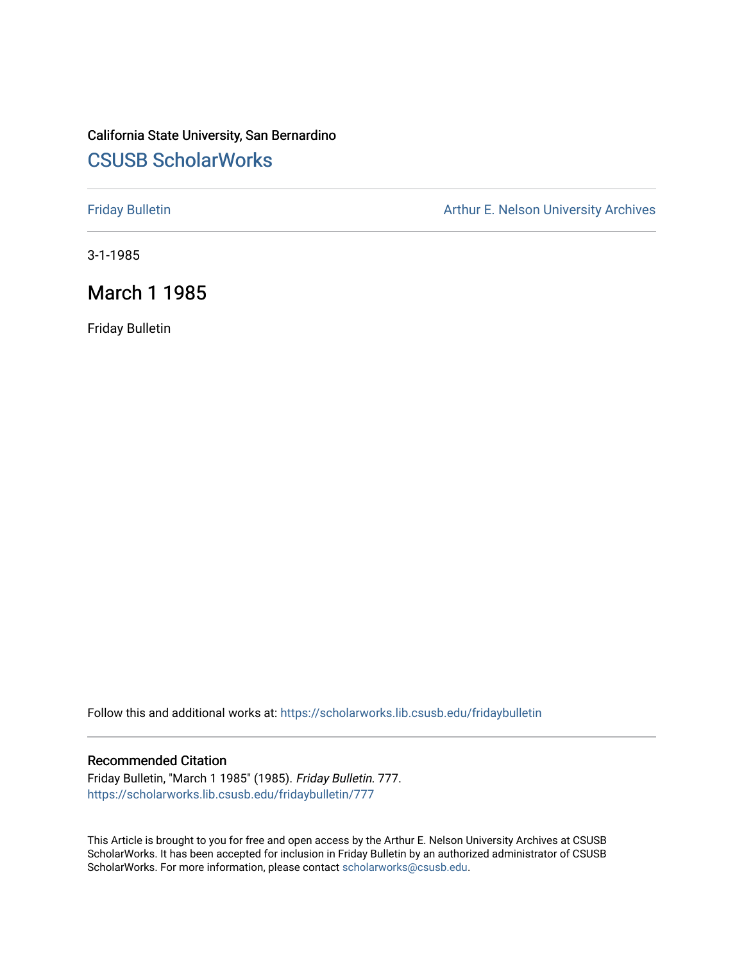# California State University, San Bernardino [CSUSB ScholarWorks](https://scholarworks.lib.csusb.edu/)

[Friday Bulletin](https://scholarworks.lib.csusb.edu/fridaybulletin) **Arthur E. Nelson University Archives** Arthur E. Nelson University Archives

3-1-1985

## March 1 1985

Friday Bulletin

Follow this and additional works at: [https://scholarworks.lib.csusb.edu/fridaybulletin](https://scholarworks.lib.csusb.edu/fridaybulletin?utm_source=scholarworks.lib.csusb.edu%2Ffridaybulletin%2F777&utm_medium=PDF&utm_campaign=PDFCoverPages)

#### Recommended Citation

Friday Bulletin, "March 1 1985" (1985). Friday Bulletin. 777. [https://scholarworks.lib.csusb.edu/fridaybulletin/777](https://scholarworks.lib.csusb.edu/fridaybulletin/777?utm_source=scholarworks.lib.csusb.edu%2Ffridaybulletin%2F777&utm_medium=PDF&utm_campaign=PDFCoverPages)

This Article is brought to you for free and open access by the Arthur E. Nelson University Archives at CSUSB ScholarWorks. It has been accepted for inclusion in Friday Bulletin by an authorized administrator of CSUSB ScholarWorks. For more information, please contact [scholarworks@csusb.edu.](mailto:scholarworks@csusb.edu)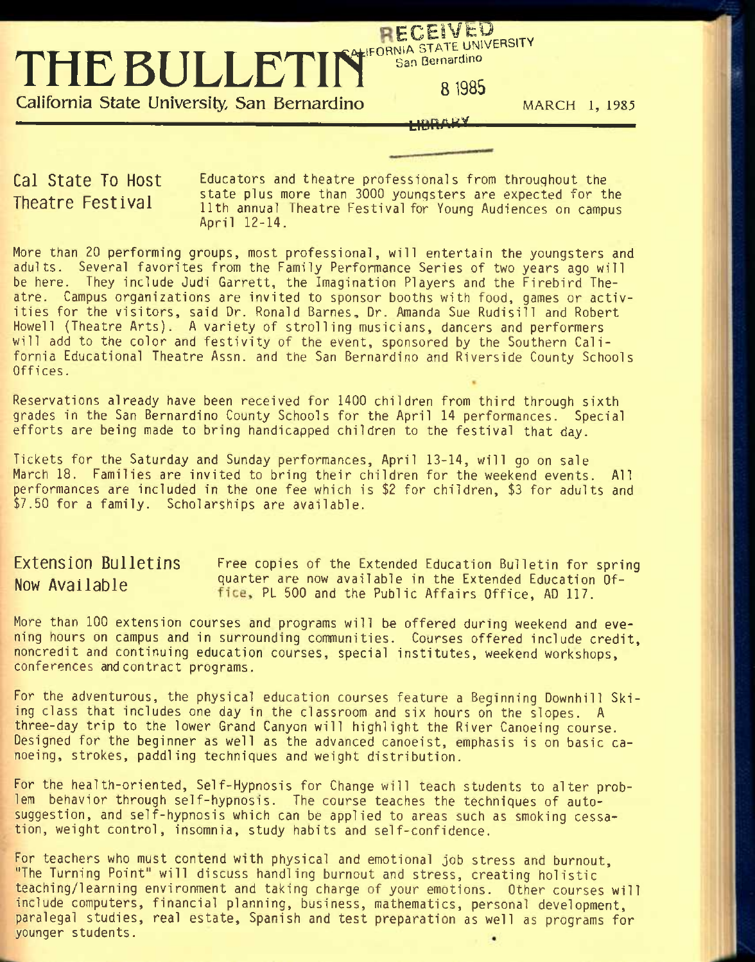THE BULLETIN<sup>" San Bernardino</sup>

**California State University, San Bernardino** *MARCH* **1, 1985** 

#### <u>Lighta Ka</u>

RECEIVED

**Cal State To Host Theatre Festival** 

Educators and theatre professionals from throughout the state plus more than 3000 youngsters are expected for the 11th annual Theatre Festival for Young Audiences on campus April 12-14.

More than 20 performing groups, most professional, will entertain the youngsters and adults. Several favorites from the Family Performance Series of two years ago will be here. They include Judi Garrett, the Imagination Players and the Firebird Theatre. Campus organizations are invited to sponsor booths with food, games or activities for the visitors, said Dr. Ronald Barnes, Dr. Amanda Sue Rudisill and Robert Howell (Theatre Arts). A variety of strolling musicians, dancers and performers will add to the color and festivity of the event, sponsored by the Southern California Educational Theatre Assn. and the San Bernardino and Riverside County Schools Offices.

Reservations already have been received for 1400 children from third through sixth grades in the San Bernardino County Schools for the April 14 performances. Special efforts are being made to bring handicapped children to the festival that day.

Tickets for the Saturday and Sunday performances, April 13-14, will go on sale March 18. Families are invited to bring their children for the weekend events. All performances are included in the one fee which is \$2 for children, \$3 for adults and \$7.50 for a family. Scholarships are available.

**Extension Bulletins** Free copies of the Extended Education Bulletin for spring Now Available quarter are now available in the Extended Education Of-<br> $\frac{1}{2}$ <br> $\frac{1}{2}$ <br> $\frac{1}{2}$ <br> $\frac{1}{2}$ <br> $\frac{1}{2}$ fice, PL 500 and the Public Affairs Office, AD 117.

More than 100 extension courses and programs will be offered during weekend and evening hours on campus and in surrounding communities. Courses offered include credit, noncredit and continuing education courses, special institutes, weekend workshops, conferences and contract programs.

For the adventurous, the physical education courses feature a Beginning Downhill Skiing class that includes one day in the classroom and six hours on the slopes. A three-day trip to the lower Grand Canyon will highlight the River Canoeing course. Designed for the beginner as well as the advanced canoeist, emphasis is on basic canoeing, strokes, paddling techniques and weight distribution.

For the health-oriented, Self-Hypnosis for Change will teach students to alter problem behavior through self-hypnosis. The course teaches the techniques of autosuggestion, and self-hypnosis which can be applied to areas such as smoking cessation, weight control, insomnia, study habits and self-confidence.

For teachers who must contend with physical and emotional job stress and burnout, "The Turning Point" will discuss handling burnout and stress, creating holistic teaching/learning environment and taking charge of your emotions. Other courses will include computers, financial planning, business, mathematics, personal development, paralegal studies, real estate, Spanish and test preparation as well as programs for younger students.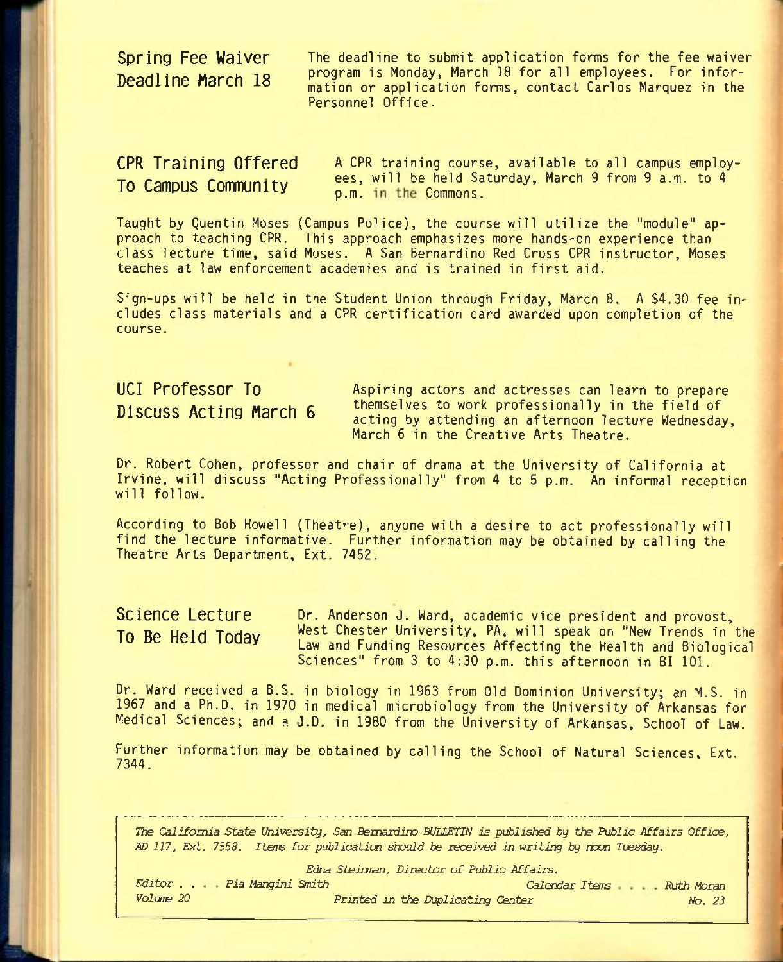**Spring Fee Waiver** The deadline to submit application forms for the fee waiver principle in the community of the program is Monday, March 18 for all employees. For infor-<br>Deadline March 18 and the constantion forms control Caples Margues in the mation or application forms, contact Carlos Marquez in the Personnel Office.

**CPR Training Offered A** CPR training course, available to all campus employees, will be held Saturday, March 9 from 9 a.m. to 4 **To Campus Community** best, while the commons.

Taught by Quentin Moses (Campus Police), the course will utilize the "module" approach to teaching CPR. This approach emphasizes more hands-on experience than class lecture time, said Moses. A San Bernardino Red Cross CPR instructor, Moses teaches at law enforcement academies and is trained in first aid.

Sign-ups will be held in the Student Union through Friday, March 8. A \$4.30 fee includes class materials and a CPR certification card awarded upon completion of the course.

**UCI Professor To** Aspiring actors and actresses can learn to prepare Discuss Acting March 6 themselves to work professionally in the field of acting by attending an afternoon lecture Wednesday, March 6 in the Creative Arts Theatre.

Dr. Robert Cohen, professor and chair of drama at the University of California at Irvine, will discuss "Acting Professionally" from 4 to 5 p.m. An informal reception will follow.

According to Bob Howell (Theatre), anyone with a desire to act professionally will find the lecture informative. Further information may be obtained by calling the Theatre Arts Department, Ext. 7452.

**Science Lecture To Be Held Today**  Dr. Anderson J. Ward, academic vice president and provost. West Chester University, PA, will speak on "New Trends in the Law and Funding Resources Affecting the Health and Biological Sciences" from 3 to 4:30 p.m. this afternoon in BI 101.

Dr. Ward received a B.S. in biology in 1963 from Old Dominion University; an M.S. in 1967 and a Ph.D. in 1970 in medical microbiology from the University of Arkansas for Medical Sciences; and a J.D. in 1980 from the University of Arkansas, School of Law.

Further information may be obtained by calling the School of Natural Sciences, Ext. 7344.

*The California State University, San Bernardino BULLETIN is published by the Public Affairs Office, AD 117, Ext. 7558. Items for publicaticn should be received in writing by noon Tuesday.* 

*Edna Steiiman, Director of Public Affairs.* 

*Editor . . Pia Mangini Smith Calendar Items Vol me 20 Printed in the Duplicating C&nter Ruth Moran No. 23*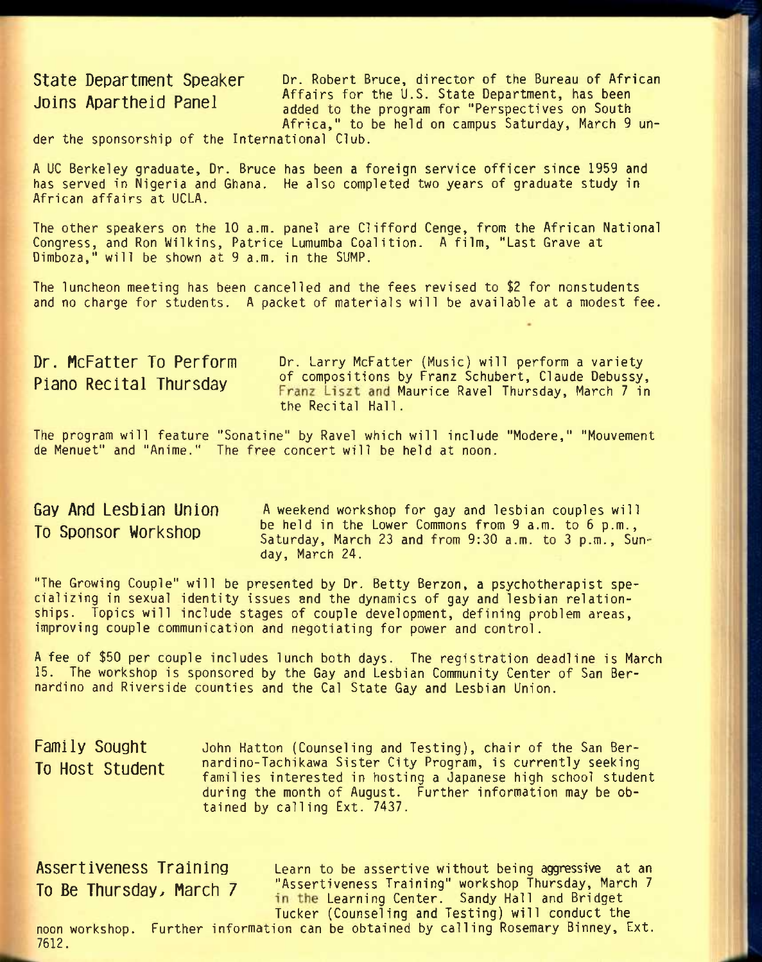**State Department Speaker Dr. Robert Bruce, director of the Bureau of African** Joins Apartheid Panel Affairs for the U.S. State Department, has been<br>added to the pregnant for "Perspectives on South added to the program for "Perspectives on South Africa," to be held on campus Saturday, March 9 un-

der the sponsorship of the International Club.

A UC Berkeley graduate. Dr. Bruce has been a foreign service officer since 1959 and has served in Nigeria and Ghana. He also completed two years of graduate study in African affairs at UCLA.

The other speakers on the 10 a.m. panel are Clifford Cenge, from the African National Congress, and Ron Wilkins, Patrice Lumumba Coalition. A film, "Last Grave at Dimboza," will be shown at 9 a.m. in the SUMP.

The luncheon meeting has been cancelled and the fees revised to \$2 for nonstudents and no charge for students. A packet of materials will be available at a modest fee.

Dr. McFatter To Perform Dr. Larry McFatter (Music) will perform a variety Piano Recital Thursday of compositions by Franz Schubert, Claude Debussy, Franz Liszt and Maurice Ravel Thursday, March 7 in the Recital Hall.

The program will feature "Sonatine" by Ravel which will include "Modere," "Mouvement de Menuet" and "Anime." The free concert will be held at noon.

**Gay And Lesbian Union To Sponsor Workshop** 

A weekend workshop for gay and lesbian couples will be held in the Lower Commons from 9 a.m. to 6 p.m., Saturday, March 23 and from 9:30 a.m. to 3 p.m., Sunday, March 24.

"The Growing Couple" will be presented by Dr. Betty Berzon, a psychotherapist specializing in sexual identity issues and the dynamics of gay and lesbian relationships. Topics will include stages of couple development, defining problem areas, improving couple communication and negotiating for power and control.

A fee of \$50 per couple includes lunch both days. The registration deadline is March 15. The workshop is sponsored by the Gay and Lesbian Community Center of San Bernardino and Riverside counties and the Cal State Gay and Lesbian Union.

**Family Sought To Host Student** John Hatton (Counseling and Testing), chair of the San Bernardino-Tachikawa Sister City Program, is currently seeking families interested in hosting a Japanese high school student during the month of August. Further information may be obtained by calling Ext. 7437.

Assertiveness Training Learn to be assertive without being aggressive at an To Be Thursday, March 7 <sup>"Assertiveness Training" workshop Thursday, March 7<br>in the Learning Center. Sandy Hall and Bridget</sup> Tucker (Counseling and Testing) will conduct the

noon workshop. Further information can be obtained by calling Rosemary Binney, Ext. 7612.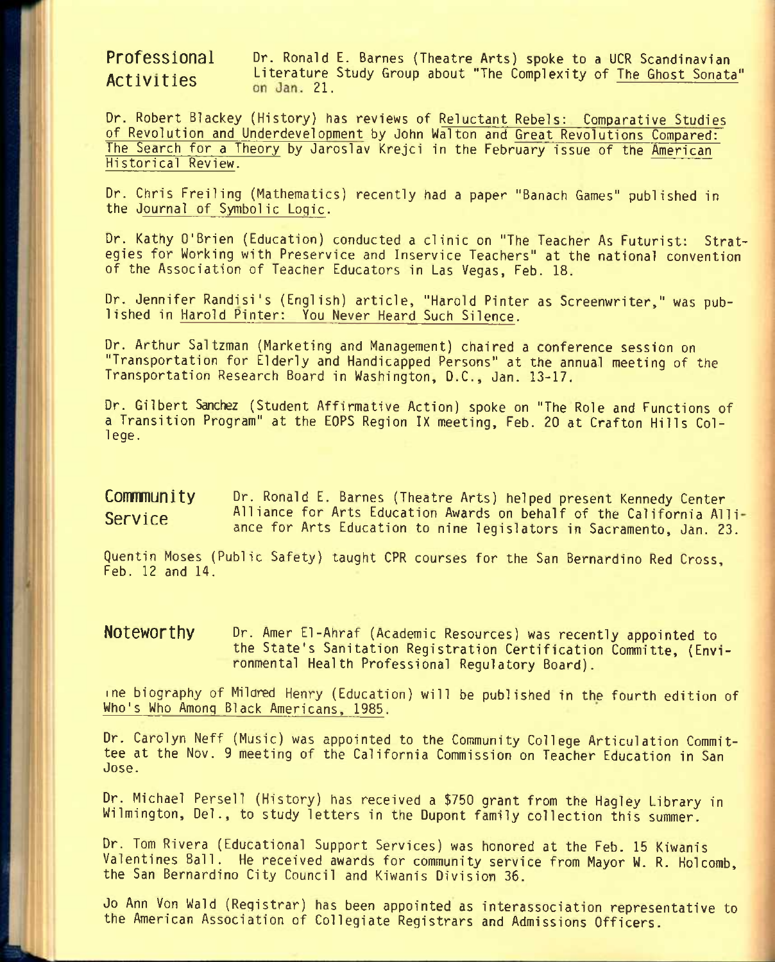**Professional** Dr. Ronald E. Barnes {Theatre Arts) spoke to a UCR Scandinavian Artivities Literature Study Group about "The Complexity of The Ghost Sonata"<br>Activities on Jan. 21.

Dr. Robert Blackey (History) has reviews of Reluctant Rebels: Comparative Studies of Revolution and Underdevelopment by John Walton and Great Revolutions Compared: The Search for a Theory by Jaroslav Krejci in the February issue of the American Historical Review.

Dr. Chris Freiling (Mathematics) recently had a paper "Banach Games" published in the Journal of Symbolic Logic.

Dr. Kathy O'Brien (Education) conducted a clinic on "The Teacher As Futurist: Strategies for Working with Preservice and Inservice Teachers" at the national convention of the Association of Teacher Educators in Las Vegas, Feb. 18.

Dr. Jennifer Randisi's (English) article, "Harold Pinter as Screenwriter," was published in Harold Pinter: You Never Heard Such Silence.

Dr. Arthur Saltzman (Marketing and Management) chaired a conference session on "Transportation for Elderly and Handicapped Persons" at the annual meeting of the Transportation Research Board in Washington, D.C., Jan. 13-17.

Dr. Gilbert Sanchez (Student Affirmative Action) spoke on "The Role and Functions of a Transition Program" at the EOPS Region IX meeting, Feb. 20 at Crafton Hills College.

**Commmunity** Dr. Ronald E. Barnes (Theatre Arts) helped present Kennedy Center **Service Alliance for Arts Education Awards on behalf of the California Alli**ance for Arts Education to nine legislators in Sacramento, Jan. 23.

Quentin Moses (Public Safety) taught CPR courses for the San Bernardino Red Cross, Feb. 12 and 14.

**Noteworthy** Dr. Amer El-Ahraf (Academic Resources) was recently appointed to the State's Sanitation Registration Certification Committe, (Environmental Health Professional Regulatory Board).

me biography of Milared Henry (Education) will be published in the fourth edition of Who's Who Among Black Americans, 1985.

Dr. Carolyn Neff (Music) was appointed to the Community College Articulation Committee at the Nov. 9 meeting of the California Commission on Teacher Education in San Jose.

Dr. Michael Persell (History) has received a \$750 grant from the Hagley Library in Wilmington, Del., to study letters in the Dupont family collection this summer.

Dr. Tom Rivera (Educational Support Services) was honored at the Feb. 15 Kiwanis Valentines Ball. He received awards for community service from Mayor W. R. Holcomb, the San Bernardino City Council and Kiwanis Division 36.

Jo Ann Von Wald (Registrar) has been appointed as interassociation representative to the American Association of Collegiate Registrars and Admissions Officers.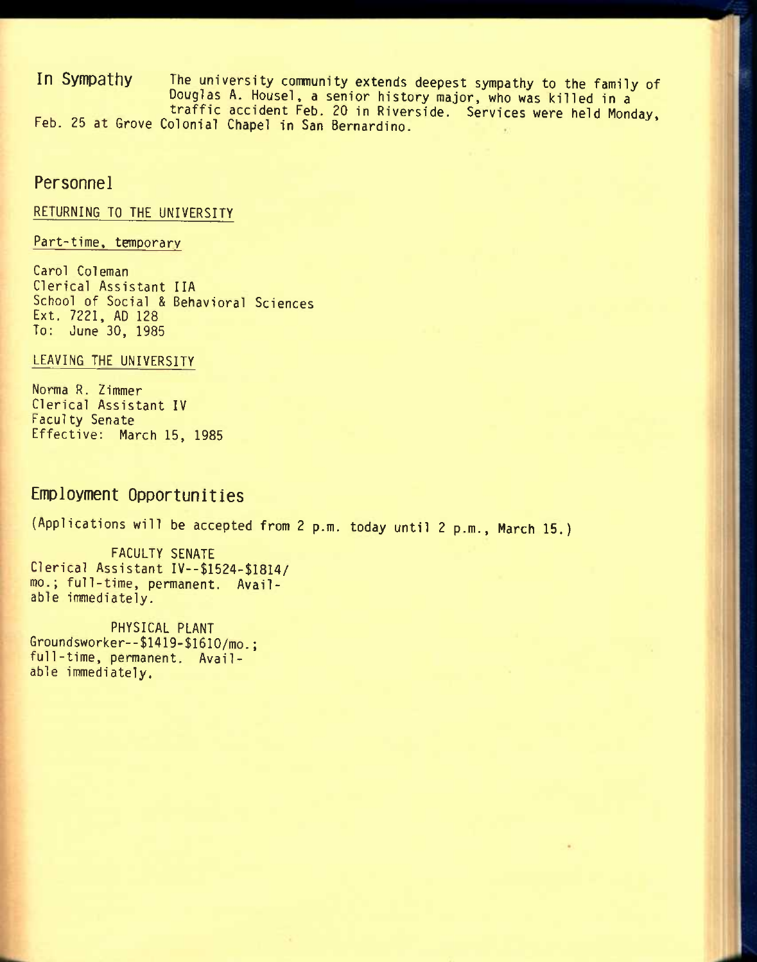**In Sympathy** The university community extends deepest sympathy to the family of Douglas A. Housel. a senior history major, who was killed in a traffic accident Feb. 20 in Riverside. Services were held Monday, Feb. 25 at Grove Colonial Chapel in San Bernardino.

### **Personnel**

#### RETURNING TO THE UNIVERSITY

Part-time, temporary

Carol Coleman Clerical Assistant IIA School of Social & Behavioral Sciences Ext. 7221. AD 128 To: June 30. 1985

#### LEAVING THE UNIVERSITY

Norma R. Zimmer Clerical Assistant IV Faculty Senate Effective: March 15. 1985

## **Employment Opportunities**

{Applications will be accepted from 2 p.m. today until 2 p.m.. March 15.)

FACULTY SENATE Clerical Assistant IV—\$1524-\$18I4/ mo.; full-time, permanent. Available immediately.

PHYSICAL PLANT Groundsworker--\$1419-\$1610/mo.; full-time, permanent. Available immediately.